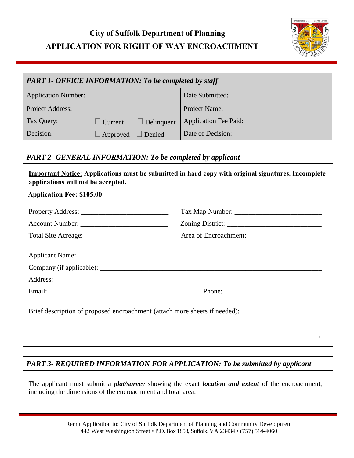# **City of Suffolk Department of Planning APPLICATION FOR RIGHT OF WAY ENCROACHMENT**



| <b>PART 1- OFFICE INFORMATION: To be completed by staff</b> |          |                   |                              |  |  |
|-------------------------------------------------------------|----------|-------------------|------------------------------|--|--|
| <b>Application Number:</b>                                  |          |                   | Date Submitted:              |  |  |
| Project Address:                                            |          |                   | Project Name:                |  |  |
| Tax Query:                                                  | Current  | $\Box$ Delinquent | <b>Application Fee Paid:</b> |  |  |
| Decision:                                                   | Approved | Denied            | Date of Decision:            |  |  |

### *PART 2- GENERAL INFORMATION: To be completed by applicant*

| <b>Important Notice:</b> Applications must be submitted in hard copy with original signatures. Incomplete |  |
|-----------------------------------------------------------------------------------------------------------|--|
| applications will not be accepted.                                                                        |  |

#### **Application Fee: \$105.00**

| Company (if applicable):                                                                             |                                                                                                                                                                                                                                                                                                                                                                                                              |  |  |  |
|------------------------------------------------------------------------------------------------------|--------------------------------------------------------------------------------------------------------------------------------------------------------------------------------------------------------------------------------------------------------------------------------------------------------------------------------------------------------------------------------------------------------------|--|--|--|
|                                                                                                      |                                                                                                                                                                                                                                                                                                                                                                                                              |  |  |  |
|                                                                                                      | Phone: $\frac{1}{\sqrt{1-\frac{1}{2}}\sqrt{1-\frac{1}{2}}\sqrt{1-\frac{1}{2}}\sqrt{1-\frac{1}{2}}\sqrt{1-\frac{1}{2}}\sqrt{1-\frac{1}{2}}\sqrt{1-\frac{1}{2}}\sqrt{1-\frac{1}{2}}\sqrt{1-\frac{1}{2}}\sqrt{1-\frac{1}{2}}\sqrt{1-\frac{1}{2}}\sqrt{1-\frac{1}{2}}\sqrt{1-\frac{1}{2}}\sqrt{1-\frac{1}{2}}\sqrt{1-\frac{1}{2}}\sqrt{1-\frac{1}{2}}\sqrt{1-\frac{1}{2}}\sqrt{1-\frac{1}{2}}\sqrt{1-\frac{1}{2$ |  |  |  |
| Brief description of proposed encroachment (attach more sheets if needed): _________________________ |                                                                                                                                                                                                                                                                                                                                                                                                              |  |  |  |
|                                                                                                      |                                                                                                                                                                                                                                                                                                                                                                                                              |  |  |  |
|                                                                                                      |                                                                                                                                                                                                                                                                                                                                                                                                              |  |  |  |

## *PART 3- REQUIRED INFORMATION FOR APPLICATION: To be submitted by applicant*

The applicant must submit a *plat/survey* showing the exact *location and extent* of the encroachment, including the dimensions of the encroachment and total area.